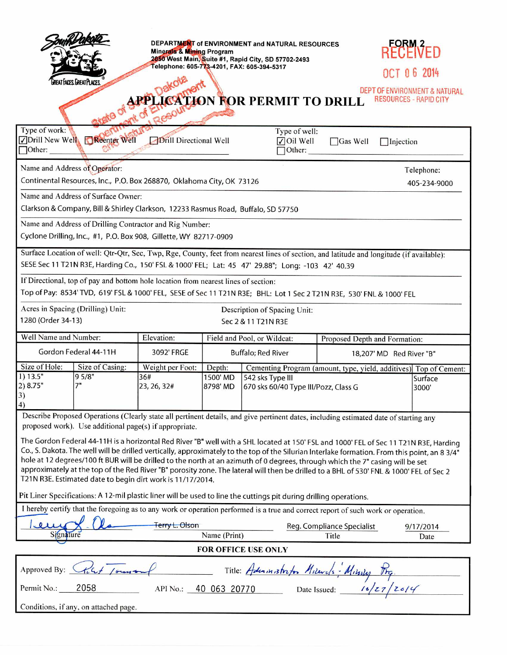|                                                                                                                                                                                                                                                                                                                                                                                                                                                                                                                                                                                                                                                                                             |                             | DEPARTMENT of ENVIRONMENT and NATURAL RESOURCES<br><b>Minerals &amp; Mining Program</b><br>2050 West Main, Suite #1, Rapid City, SD 57702-2493 |                                                              |                                                                   |                 | RECEIVED         |                               |  |
|---------------------------------------------------------------------------------------------------------------------------------------------------------------------------------------------------------------------------------------------------------------------------------------------------------------------------------------------------------------------------------------------------------------------------------------------------------------------------------------------------------------------------------------------------------------------------------------------------------------------------------------------------------------------------------------------|-----------------------------|------------------------------------------------------------------------------------------------------------------------------------------------|--------------------------------------------------------------|-------------------------------------------------------------------|-----------------|------------------|-------------------------------|--|
|                                                                                                                                                                                                                                                                                                                                                                                                                                                                                                                                                                                                                                                                                             |                             | Telephone: 605-773-4201, FAX: 605-394-5317                                                                                                     |                                                              |                                                                   |                 | 06 2014          |                               |  |
| REAT FACES GREAT PLACES                                                                                                                                                                                                                                                                                                                                                                                                                                                                                                                                                                                                                                                                     |                             |                                                                                                                                                |                                                              |                                                                   |                 |                  | DEPT OF ENVIRONMENT & NATURAL |  |
| <b>JON FOR PERMIT TO DRILL</b><br><b>RESOURCES - RAPID CITY</b>                                                                                                                                                                                                                                                                                                                                                                                                                                                                                                                                                                                                                             |                             |                                                                                                                                                |                                                              |                                                                   |                 |                  |                               |  |
|                                                                                                                                                                                                                                                                                                                                                                                                                                                                                                                                                                                                                                                                                             |                             |                                                                                                                                                |                                                              |                                                                   |                 |                  |                               |  |
| Type of work:<br>$\Box$ Other:                                                                                                                                                                                                                                                                                                                                                                                                                                                                                                                                                                                                                                                              | Drill New Well Reenter Well | <b>Drill Directional Well</b>                                                                                                                  |                                                              | Type of well:<br>$\nabla$ Oil Well<br>Other:                      | $\Box$ Gas Well | $\Box$ Injection |                               |  |
| Name and Address of Operator:<br>Telephone:                                                                                                                                                                                                                                                                                                                                                                                                                                                                                                                                                                                                                                                 |                             |                                                                                                                                                |                                                              |                                                                   |                 |                  |                               |  |
| Continental Resources, Inc., P.O. Box 268870, Oklahoma City, OK 73126                                                                                                                                                                                                                                                                                                                                                                                                                                                                                                                                                                                                                       |                             |                                                                                                                                                |                                                              |                                                                   |                 |                  | 405-234-9000                  |  |
| Name and Address of Surface Owner:                                                                                                                                                                                                                                                                                                                                                                                                                                                                                                                                                                                                                                                          |                             |                                                                                                                                                |                                                              |                                                                   |                 |                  |                               |  |
| Clarkson & Company, Bill & Shirley Clarkson, 12233 Rasmus Road, Buffalo, SD 57750                                                                                                                                                                                                                                                                                                                                                                                                                                                                                                                                                                                                           |                             |                                                                                                                                                |                                                              |                                                                   |                 |                  |                               |  |
| Name and Address of Drilling Contractor and Rig Number:                                                                                                                                                                                                                                                                                                                                                                                                                                                                                                                                                                                                                                     |                             |                                                                                                                                                |                                                              |                                                                   |                 |                  |                               |  |
| Cyclone Drilling, Inc., #1, P.O. Box 908, Gillette, WY 82717-0909                                                                                                                                                                                                                                                                                                                                                                                                                                                                                                                                                                                                                           |                             |                                                                                                                                                |                                                              |                                                                   |                 |                  |                               |  |
| Surface Location of well: Qtr-Qtr, Sec, Twp, Rge, County, feet from nearest lines of section, and latitude and longitude (if available):                                                                                                                                                                                                                                                                                                                                                                                                                                                                                                                                                    |                             |                                                                                                                                                |                                                              |                                                                   |                 |                  |                               |  |
| SESE Sec 11 T21N R3E, Harding Co., 150' FSL & 1000' FEL; Lat: 45 47' 29.88"; Long: -103 42' 40.39                                                                                                                                                                                                                                                                                                                                                                                                                                                                                                                                                                                           |                             |                                                                                                                                                |                                                              |                                                                   |                 |                  |                               |  |
| If Directional, top of pay and bottom hole location from nearest lines of section:<br>Top of Pay: 8534' TVD, 619' FSL & 1000' FEL, SESE of Sec 11 T21N R3E; BHL: Lot 1 Sec 2 T21N R3E, 530' FNL & 1000' FEL                                                                                                                                                                                                                                                                                                                                                                                                                                                                                 |                             |                                                                                                                                                |                                                              |                                                                   |                 |                  |                               |  |
| Acres in Spacing (Drilling) Unit:<br>Description of Spacing Unit:                                                                                                                                                                                                                                                                                                                                                                                                                                                                                                                                                                                                                           |                             |                                                                                                                                                |                                                              |                                                                   |                 |                  |                               |  |
| 1280 (Order 34-13)<br>Sec 2 & 11 T21N R3E                                                                                                                                                                                                                                                                                                                                                                                                                                                                                                                                                                                                                                                   |                             |                                                                                                                                                |                                                              |                                                                   |                 |                  |                               |  |
| Well Name and Number:                                                                                                                                                                                                                                                                                                                                                                                                                                                                                                                                                                                                                                                                       |                             | Elevation:                                                                                                                                     | Field and Pool, or Wildcat:<br>Proposed Depth and Formation: |                                                                   |                 |                  |                               |  |
| Gordon Federal 44-11H                                                                                                                                                                                                                                                                                                                                                                                                                                                                                                                                                                                                                                                                       |                             | 3092' FRGE                                                                                                                                     |                                                              | <b>Buffalo</b> ; Red River<br>18,207' MD Red River "B"            |                 |                  |                               |  |
| Size of Hole:<br>1) 13.5"                                                                                                                                                                                                                                                                                                                                                                                                                                                                                                                                                                                                                                                                   | Size of Casing:             | Weight per Foot:                                                                                                                               | Depth:                                                       | Cementing Program (amount, type, yield, additives) Top of Cement: |                 |                  |                               |  |
| 2) 8.75"<br>$\begin{array}{c} 3 \\ 4 \end{array}$                                                                                                                                                                                                                                                                                                                                                                                                                                                                                                                                                                                                                                           | 95/8"                       | 36#<br>23, 26, 32#                                                                                                                             | 1500 MD<br>8798 MD                                           | 542 sks Type III<br>670 sks 60/40 Type III/Pozz, Class G<br>3000' |                 |                  | Surface                       |  |
| Describe Proposed Operations (Clearly state all pertinent details, and give pertinent dates, including estimated date of starting any                                                                                                                                                                                                                                                                                                                                                                                                                                                                                                                                                       |                             |                                                                                                                                                |                                                              |                                                                   |                 |                  |                               |  |
| proposed work). Use additional page(s) if appropriate.<br>The Gordon Federal 44-11H is a horizontal Red River "B" well with a SHL located at 150' FSL and 1000' FEL of Sec 11 T21N R3E, Harding<br>Co., S. Dakota. The well will be drilled vertically, approximately to the top of the Silurian Interlake formation. From this point, an 8 3/4"<br>hole at 12 degrees/100 ft BUR will be drilled to the north at an azimuth of 0 degrees, through which the 7" casing will be set<br>approximately at the top of the Red River "B" porosity zone. The lateral will then be drilled to a BHL of 530' FNL & 1000' FEL of Sec 2<br>T21N R3E. Estimated date to begin dirt work is 11/17/2014. |                             |                                                                                                                                                |                                                              |                                                                   |                 |                  |                               |  |
| Pit Liner Specifications: A 12-mil plastic liner will be used to line the cuttings pit during drilling operations.                                                                                                                                                                                                                                                                                                                                                                                                                                                                                                                                                                          |                             |                                                                                                                                                |                                                              |                                                                   |                 |                  |                               |  |
| I hereby certify that the foregoing as to any work or operation performed is a true and correct report of such work or operation.                                                                                                                                                                                                                                                                                                                                                                                                                                                                                                                                                           |                             |                                                                                                                                                |                                                              |                                                                   |                 |                  |                               |  |
| Signature                                                                                                                                                                                                                                                                                                                                                                                                                                                                                                                                                                                                                                                                                   |                             | Terry L. Olson<br>Reg. Compliance Specialist<br>Name (Print)<br>Title                                                                          |                                                              |                                                                   |                 |                  | 9/17/2014                     |  |
| Date<br><b>FOR OFFICE USE ONLY</b>                                                                                                                                                                                                                                                                                                                                                                                                                                                                                                                                                                                                                                                          |                             |                                                                                                                                                |                                                              |                                                                   |                 |                  |                               |  |
|                                                                                                                                                                                                                                                                                                                                                                                                                                                                                                                                                                                                                                                                                             |                             |                                                                                                                                                |                                                              |                                                                   |                 |                  |                               |  |
| Approved By: $\sqrt{ }$<br>Title: Administrion Milenes Military Prg.<br>API No.: 40 063 20770 Date Issued: 16/27/2014                                                                                                                                                                                                                                                                                                                                                                                                                                                                                                                                                                       |                             |                                                                                                                                                |                                                              |                                                                   |                 |                  |                               |  |
| 2058<br>Permit No.:                                                                                                                                                                                                                                                                                                                                                                                                                                                                                                                                                                                                                                                                         |                             |                                                                                                                                                |                                                              |                                                                   |                 |                  |                               |  |
| Conditions, if any, on attached page.                                                                                                                                                                                                                                                                                                                                                                                                                                                                                                                                                                                                                                                       |                             |                                                                                                                                                |                                                              |                                                                   |                 |                  |                               |  |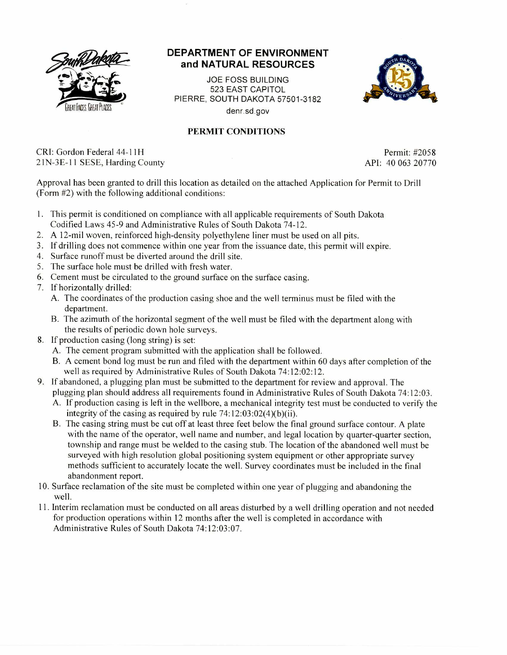

## **DEPARTMENT OF ENVIRONMENT and NATURAL RESOURCES**

JOE FOSS BUILDING 523 EAST CAPITOL PIERRE. SOUTH DAKOTA 57501-3182 denr.sd.gov



## PERMIT CONDITIONS

CRI: Gordon Federal 44-11H Permit: #2058 21N-3E-11 SESE, Harding County API: 40 063 20770

Approval has been granted to drill this location as detailed on the attached Application for Permit to Drill (Form #2) with the following additional conditions:

- 1. This permit is conditioned on compliance with all applicable requirements of South Dakota Codified Laws 45-9 and Administrative Rules of South Dakota 74-12.
- 2. A 12-mil woven, reinforced high-density polyethylene liner must be used on all pits.
- 3. If drilling does not commence within one year from the issuance date, this permit will expire.
- 4. Surface runoff must be diverted around the drill site.
- 5. The surface hole must be drilled with fresh water.
- 6. Cement must be circulated to the ground surface on the surface casing.
- 7. If horizontally drilled:
	- A. The coordinates of the production casing shoe and the well terminus must be filed with the department.
	- B. The azimuth of the horizontal segment of the well must be filed with the department along with the results of periodic down hole surveys.
- 8. If production casing (long string) is set:
	- A. The cement program submitted with the application shall be followed.
	- B. A cement bond log must be run and filed with the department within 60 days after completion of the well as required by Administrative Rules of South Dakota 74:12:02:12.
- 9. If abandoned, a plugging plan must be submitted to the department for review and approval. The plugging plan should address all requirements found in Administrative Rules of South Dakota 74:12:03.
	- A. If production casing is left in the wellbore, a mechanical integrity test must be conducted to verify the integrity of the casing as required by rule 74:12:03:02(4)(b)(ii).
	- B. The casing string must be cut off at least three feet below the final ground surface contour. A plate with the name of the operator, well name and number, and legal location by quarter-quarter section, township and range must be welded to the casing stub. The location of the abandoned well must be surveyed with high resolution global positioning system equipment or other appropriate survey methods sufficient to accurately locate the well. Survey coordinates must be included in the final abandonment report.
- 10. Surface reclamation of the site must be completed within one year of plugging and abandoning the well.
- 11. Interim reclamation must be conducted on all areas disturbed by a well drilling operation and not needed for production operations within 12 months after the well is completed in accordance with Administrative Rules of South Dakota 74:12:03:07.